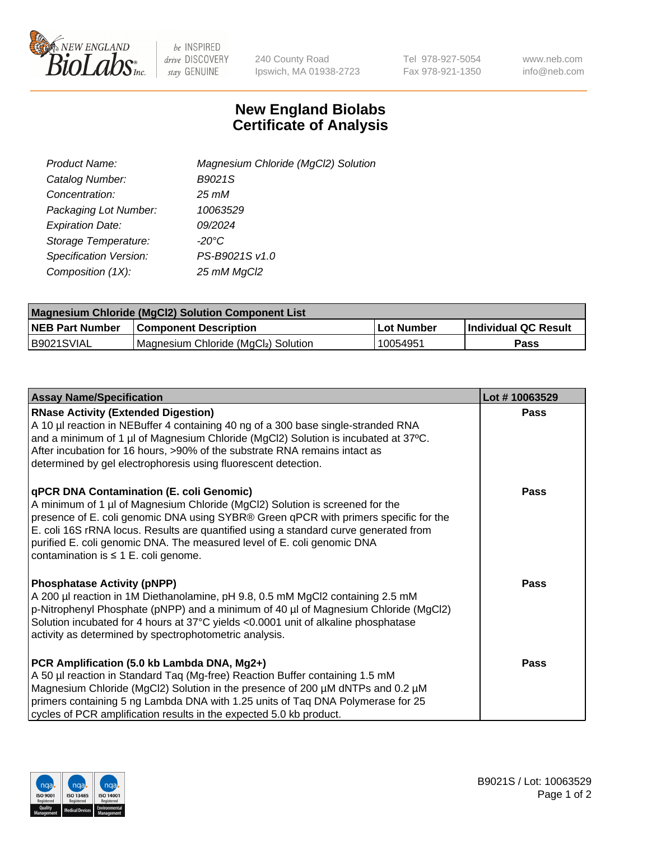

 $be$  INSPIRED drive DISCOVERY stay GENUINE

240 County Road Ipswich, MA 01938-2723 Tel 978-927-5054 Fax 978-921-1350 www.neb.com info@neb.com

## **New England Biolabs Certificate of Analysis**

| Product Name:           | Magnesium Chloride (MgCl2) Solution |
|-------------------------|-------------------------------------|
| Catalog Number:         | B9021S                              |
| Concentration:          | $25 \, \text{m}$ M                  |
| Packaging Lot Number:   | 10063529                            |
| <b>Expiration Date:</b> | 09/2024                             |
| Storage Temperature:    | $-20^{\circ}$ C                     |
| Specification Version:  | PS-B9021S v1.0                      |
| Composition (1X):       | 25 mM MgCl2                         |

| <b>Magnesium Chloride (MgCl2) Solution Component List</b> |                                     |              |                      |  |  |
|-----------------------------------------------------------|-------------------------------------|--------------|----------------------|--|--|
| <b>NEB Part Number</b>                                    | Component Description_              | l Lot Number | Individual QC Result |  |  |
| B9021SVIAL                                                | Magnesium Chloride (MgCl2) Solution | 10054951     | Pass                 |  |  |

| <b>Assay Name/Specification</b>                                                                                                                                                                                                                                                                                                                                                                                                         | Lot #10063529 |
|-----------------------------------------------------------------------------------------------------------------------------------------------------------------------------------------------------------------------------------------------------------------------------------------------------------------------------------------------------------------------------------------------------------------------------------------|---------------|
| <b>RNase Activity (Extended Digestion)</b><br>A 10 µl reaction in NEBuffer 4 containing 40 ng of a 300 base single-stranded RNA<br>and a minimum of 1 µl of Magnesium Chloride (MgCl2) Solution is incubated at 37°C.<br>After incubation for 16 hours, >90% of the substrate RNA remains intact as<br>determined by gel electrophoresis using fluorescent detection.                                                                   | <b>Pass</b>   |
| <b>qPCR DNA Contamination (E. coli Genomic)</b><br>A minimum of 1 µl of Magnesium Chloride (MgCl2) Solution is screened for the<br>presence of E. coli genomic DNA using SYBR® Green qPCR with primers specific for the<br>E. coli 16S rRNA locus. Results are quantified using a standard curve generated from<br>purified E. coli genomic DNA. The measured level of E. coli genomic DNA<br>contamination is $\leq 1$ E. coli genome. | Pass          |
| <b>Phosphatase Activity (pNPP)</b><br>A 200 µl reaction in 1M Diethanolamine, pH 9.8, 0.5 mM MgCl2 containing 2.5 mM<br>p-Nitrophenyl Phosphate (pNPP) and a minimum of 40 µl of Magnesium Chloride (MgCl2)<br>Solution incubated for 4 hours at 37°C yields <0.0001 unit of alkaline phosphatase<br>activity as determined by spectrophotometric analysis.                                                                             | <b>Pass</b>   |
| PCR Amplification (5.0 kb Lambda DNA, Mg2+)<br>A 50 µl reaction in Standard Taq (Mg-free) Reaction Buffer containing 1.5 mM<br>Magnesium Chloride (MgCl2) Solution in the presence of 200 µM dNTPs and 0.2 µM<br>primers containing 5 ng Lambda DNA with 1.25 units of Taq DNA Polymerase for 25<br>cycles of PCR amplification results in the expected 5.0 kb product.                                                                 | Pass          |